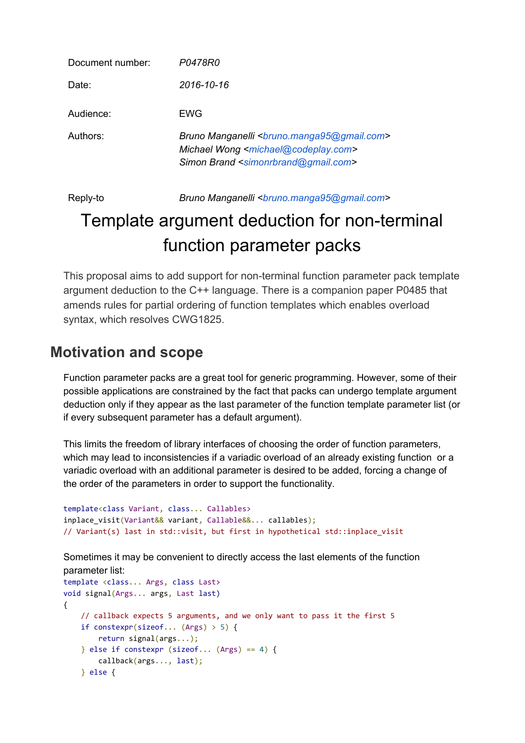| Document number: | P0478R0                                                                                                                                                                                             |
|------------------|-----------------------------------------------------------------------------------------------------------------------------------------------------------------------------------------------------|
| Date:            | 2016-10-16                                                                                                                                                                                          |
| Audience:        | EWG                                                                                                                                                                                                 |
| Authors:         | Bruno Manganelli <bruno.manga95@gmail.com><br/>Michael Wong <michael@codeplay.com><br/>Simon Brand <simonrbrand@gmail.com></simonrbrand@gmail.com></michael@codeplay.com></bruno.manga95@gmail.com> |

Reply-to *Bruno Manganelli [<bruno.manga95@gmail.com>](mailto:bruno.manga95@gmail.com)*

# Template argument deduction for non-terminal function parameter packs

This proposal aims to add support for non-terminal function parameter pack template argument deduction to the C++ language. There is a companion paper P0485 that amends rules for partial ordering of function templates which enables overload syntax, which resolves CWG1825.

# **Motivation and scope**

Function parameter packs are a great tool for generic programming. However, some of their possible applications are constrained by the fact that packs can undergo template argument deduction only if they appear as the last parameter of the function template parameter list (or if every subsequent parameter has a default argument).

This limits the freedom of library interfaces of choosing the order of function parameters, which may lead to inconsistencies if a variadic overload of an already existing function or a variadic overload with an additional parameter is desired to be added, forcing a change of the order of the parameters in order to support the functionality.

```
template<class Variant, class... Callables>
inplace visit(Variant&& variant, Callable&&... callables);
// Variant(s) last in std::visit, but first in hypothetical std::inplace_visit
```
Sometimes it may be convenient to directly access the last elements of the function parameter list:

```
template <class... Args, class Last>
void signal(Args... args, Last last)
{
     // callback expects 5 arguments, and we only want to pass it the first 5
     if constexpr(sizeof... (Args) > 5) {
         return signal(args...);
     } else if constexpr (sizeof... (Args) == 4) {
         callback(args..., last);
     } else {
```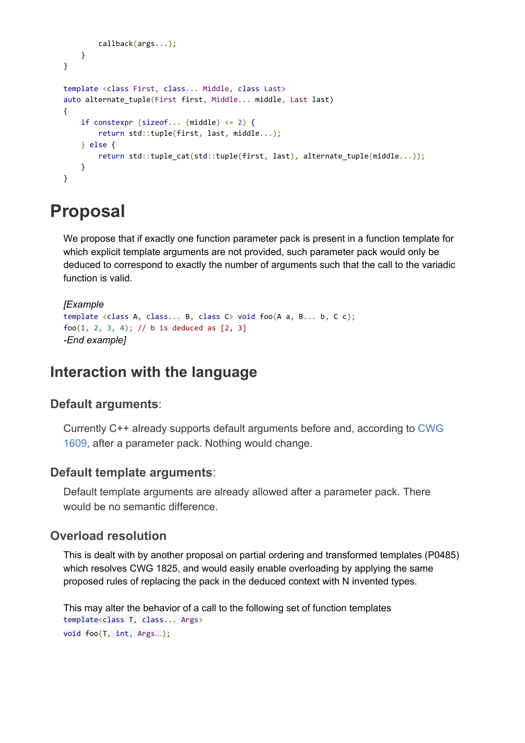```
 callback(args...);
    }
}
template <class First, class... Middle, class Last>
auto alternate_tuple(First first, Middle... middle, Last last)
{
    if constexpr (sizeof... (middle) \leq 2) {
         return std::tuple(first, last, middle...);
    } else {
        return std::tuple_cat(std::tuple(first, last), alternate_tuple(middle...));
    }
}
```
# **Proposal**

We propose that if exactly one function parameter pack is present in a function template for which explicit template arguments are not provided, such parameter pack would only be deduced to correspond to exactly the number of arguments such that the call to the variadic function is valid.

```
[Example
template \langle class A, class... B, class C \rangle void foo(A, a, B... b, C c);foo(1, 2, 3, 4); // b is deduced as [2, 3]-End example]
```
# **Interaction with the language**

#### **Default arguments**:

Currently C++ already supports default arguments before and, according to [CWG](http://www.open-std.org/jtc1/sc22/wg21/docs/cwg_active.html#1609) [1609,](http://www.open-std.org/jtc1/sc22/wg21/docs/cwg_active.html#1609) after a parameter pack. Nothing would change.

#### **Default template arguments**:

Default template arguments are already allowed after a parameter pack. There would be no semantic difference.

#### **Overload resolution**

This is dealt with by another proposal on partial ordering and transformed templates (P0485) which resolves CWG 1825, and would easily enable overloading by applying the same proposed rules of replacing the pack in the deduced context with N invented types.

```
This may alter the behavior of a call to the following set of function templates
template<class T, class... Args>
void foo(T, int, Args…);
```